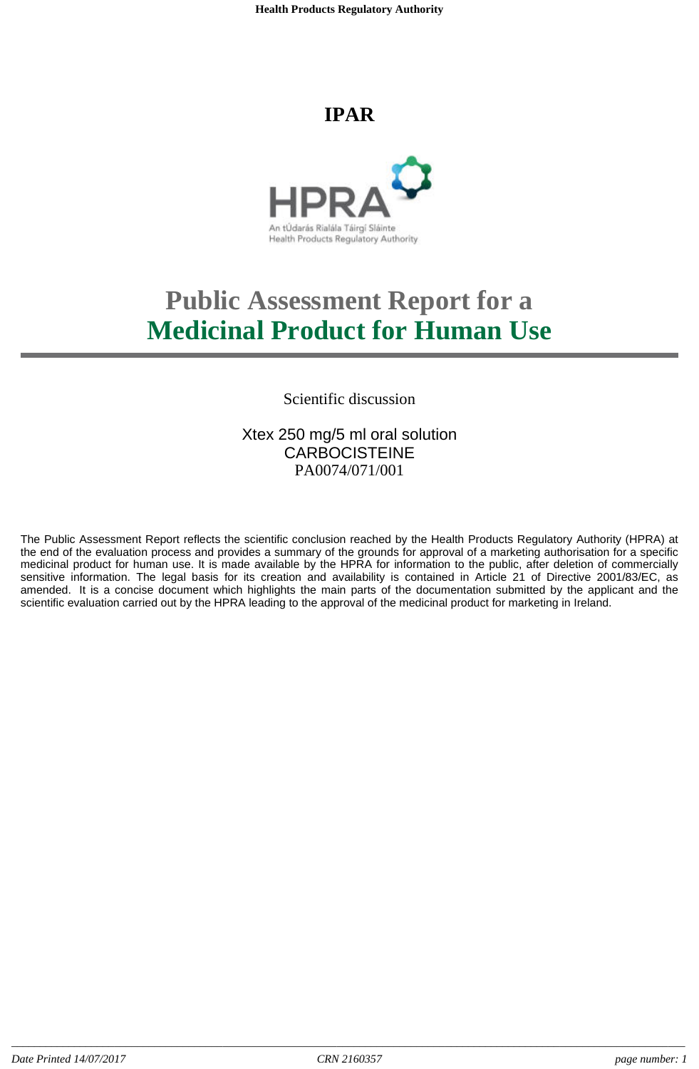**Health Products Regulatory Authority**

## **IPAR**



# **Public Assessment Report for a Medicinal Product for Human Use**

## Scientific discussion

## Xtex 250 mg/5 ml oral solution **CARBOCISTEINE** PA0074/071/001

The Public Assessment Report reflects the scientific conclusion reached by the Health Products Regulatory Authority (HPRA) at the end of the evaluation process and provides a summary of the grounds for approval of a marketing authorisation for a specific medicinal product for human use. It is made available by the HPRA for information to the public, after deletion of commercially sensitive information. The legal basis for its creation and availability is contained in Article 21 of Directive 2001/83/EC, as amended. It is a concise document which highlights the main parts of the documentation submitted by the applicant and the scientific evaluation carried out by the HPRA leading to the approval of the medicinal product for marketing in Ireland.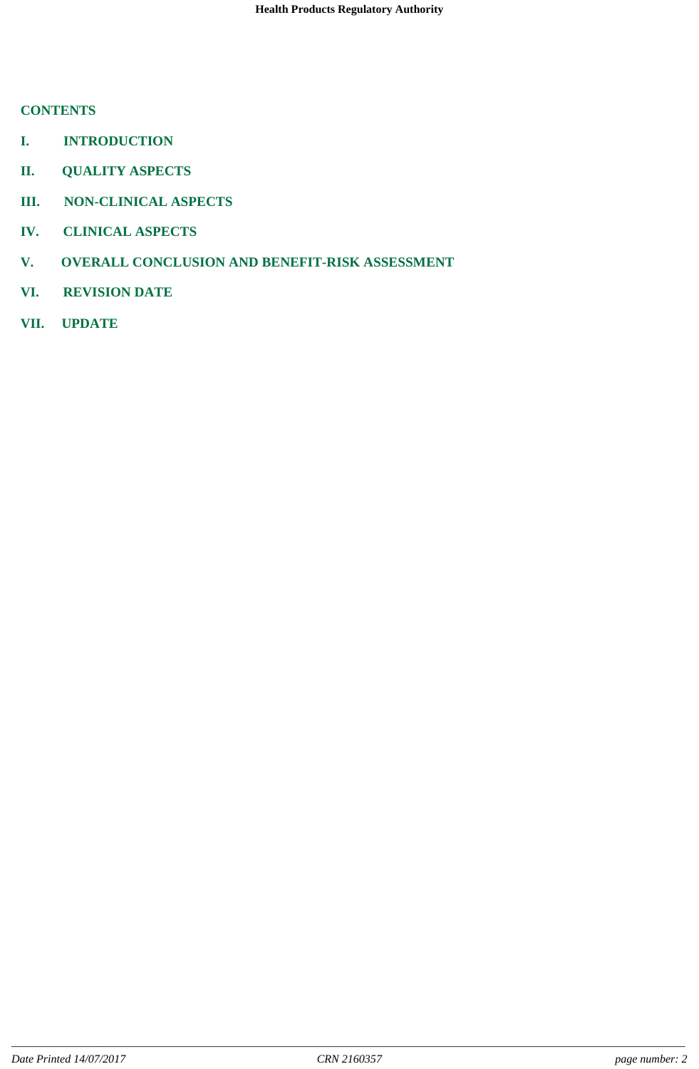## **CONTENTS**

- **I. INTRODUCTION**
- **II. QUALITY ASPECTS**
- **III. NON-CLINICAL ASPECTS**
- **IV. CLINICAL ASPECTS**
- **V. OVERALL CONCLUSION AND BENEFIT-RISK ASSESSMENT**
- **VI. REVISION DATE**
- **VII. UPDATE**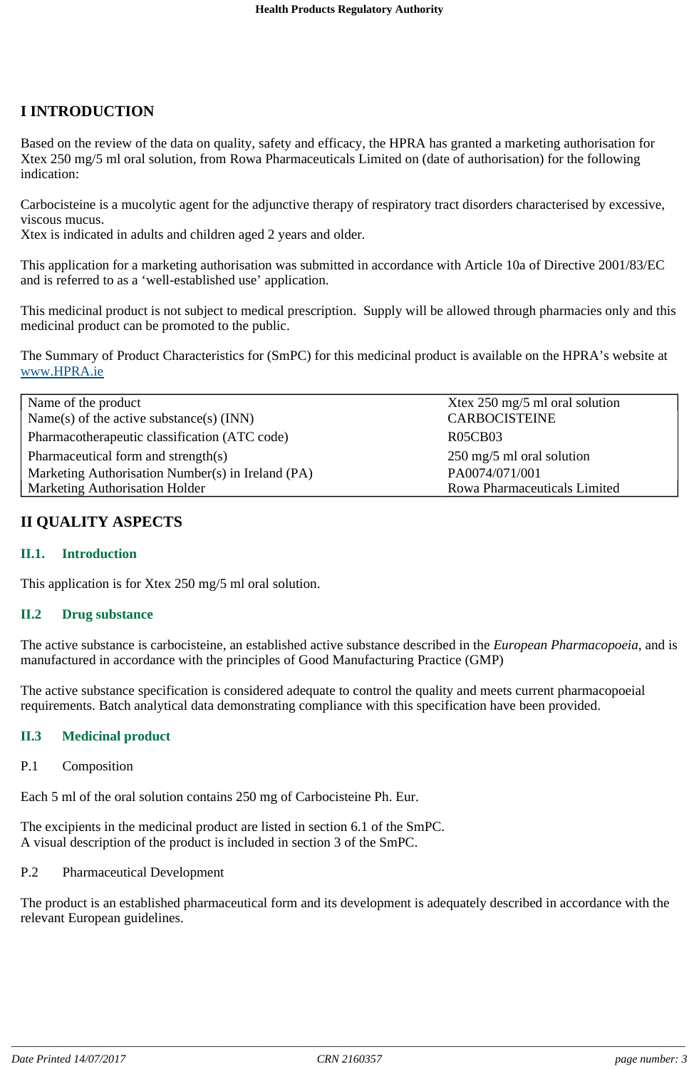## **I INTRODUCTION**

Based on the review of the data on quality, safety and efficacy, the HPRA has granted a marketing authorisation for Xtex 250 mg/5 ml oral solution, from Rowa Pharmaceuticals Limited on (date of authorisation) for the following indication:

Carbocisteine is a mucolytic agent for the adjunctive therapy of respiratory tract disorders characterised by excessive, viscous mucus.

Xtex is indicated in adults and children aged 2 years and older.

This application for a marketing authorisation was submitted in accordance with Article 10a of Directive 2001/83/EC and is referred to as a 'well-established use' application.

This medicinal product is not subject to medical prescription. Supply will be allowed through pharmacies only and this medicinal product can be promoted to the public.

The Summary of Product Characteristics for (SmPC) for this medicinal product is available on the HPRA's website at www.HPRA.ie

| Name of the product<br>Name(s) of the active substance(s) $(INN)$ | Xtex 250 mg/5 ml oral solution<br><b>CARBOCISTEINE</b> |
|-------------------------------------------------------------------|--------------------------------------------------------|
| Pharmacotherapeutic classification (ATC code)                     | <b>R05CB03</b>                                         |
| Pharmaceutical form and strength(s)                               | $250 \text{ mg}/5 \text{ ml}$ oral solution            |
| Marketing Authorisation Number(s) in Ireland (PA)                 | PA0074/071/001                                         |
| Marketing Authorisation Holder                                    | Rowa Pharmaceuticals Limited                           |

## **II QUALITY ASPECTS**

#### **II.1. Introduction**

This application is for Xtex 250 mg/5 ml oral solution.

#### **II.2 Drug substance**

The active substance is carbocisteine, an established active substance described in the *European Pharmacopoeia*, and is manufactured in accordance with the principles of Good Manufacturing Practice (GMP)

The active substance specification is considered adequate to control the quality and meets current pharmacopoeial requirements. Batch analytical data demonstrating compliance with this specification have been provided.

#### **II.3 Medicinal product**

#### P.1 Composition

Each 5 ml of the oral solution contains 250 mg of Carbocisteine Ph. Eur.

The excipients in the medicinal product are listed in section 6.1 of the SmPC. A visual description of the product is included in section 3 of the SmPC.

#### P.2 Pharmaceutical Development

The product is an established pharmaceutical form and its development is adequately described in accordance with the relevant European guidelines.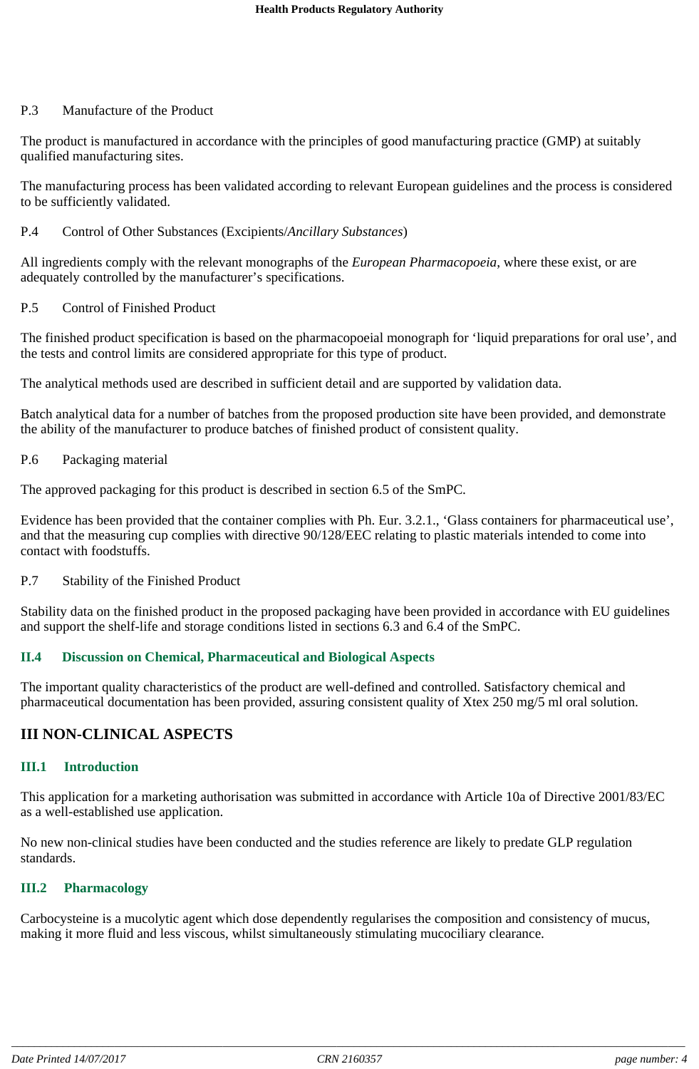#### P.3 Manufacture of the Product

The product is manufactured in accordance with the principles of good manufacturing practice (GMP) at suitably qualified manufacturing sites.

The manufacturing process has been validated according to relevant European guidelines and the process is considered to be sufficiently validated.

#### P.4 Control of Other Substances (Excipients/*Ancillary Substances*)

All ingredients comply with the relevant monographs of the *European Pharmacopoeia*, where these exist, or are adequately controlled by the manufacturer's specifications.

#### P.5 Control of Finished Product

The finished product specification is based on the pharmacopoeial monograph for 'liquid preparations for oral use', and the tests and control limits are considered appropriate for this type of product.

The analytical methods used are described in sufficient detail and are supported by validation data.

Batch analytical data for a number of batches from the proposed production site have been provided, and demonstrate the ability of the manufacturer to produce batches of finished product of consistent quality.

#### P.6 Packaging material

The approved packaging for this product is described in section 6.5 of the SmPC.

Evidence has been provided that the container complies with Ph. Eur. 3.2.1., 'Glass containers for pharmaceutical use', and that the measuring cup complies with directive 90/128/EEC relating to plastic materials intended to come into contact with foodstuffs.

#### P.7 Stability of the Finished Product

Stability data on the finished product in the proposed packaging have been provided in accordance with EU guidelines and support the shelf-life and storage conditions listed in sections 6.3 and 6.4 of the SmPC.

## **II.4 Discussion on Chemical, Pharmaceutical and Biological Aspects**

The important quality characteristics of the product are well-defined and controlled. Satisfactory chemical and pharmaceutical documentation has been provided, assuring consistent quality of Xtex 250 mg/5 ml oral solution.

## **III NON-CLINICAL ASPECTS**

## **III.1 Introduction**

This application for a marketing authorisation was submitted in accordance with Article 10a of Directive 2001/83/EC as a well-established use application.

No new non-clinical studies have been conducted and the studies reference are likely to predate GLP regulation standards.

#### **III.2 Pharmacology**

Carbocysteine is a mucolytic agent which dose dependently regularises the composition and consistency of mucus, making it more fluid and less viscous, whilst simultaneously stimulating mucociliary clearance.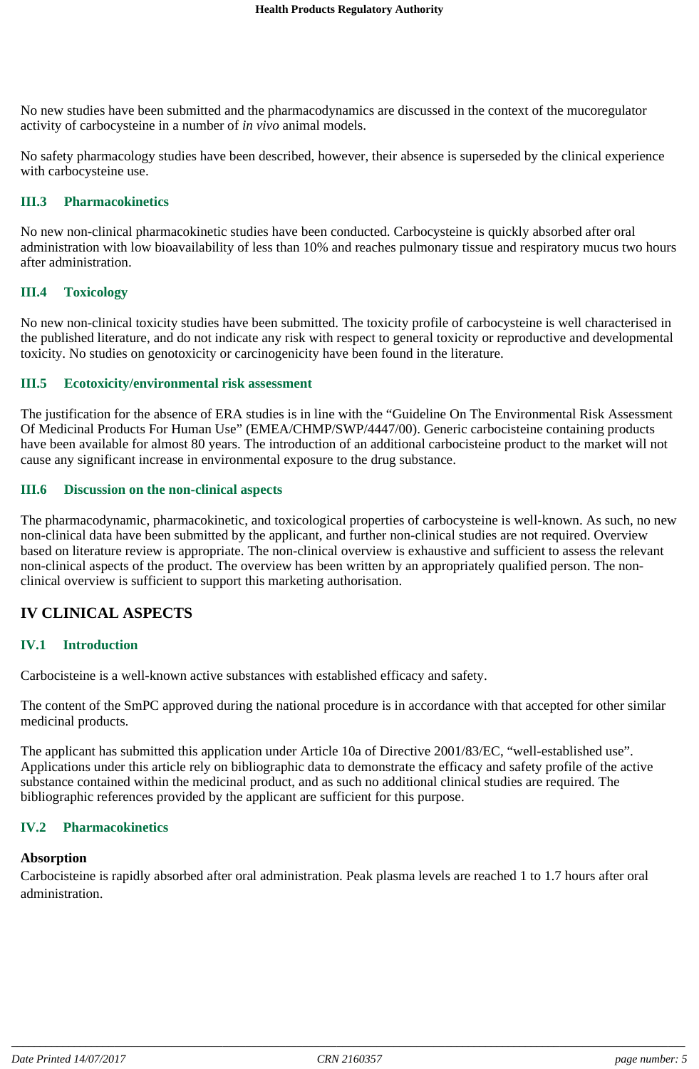No new studies have been submitted and the pharmacodynamics are discussed in the context of the mucoregulator activity of carbocysteine in a number of *in vivo* animal models.

No safety pharmacology studies have been described, however, their absence is superseded by the clinical experience with carbocysteine use.

#### **III.3 Pharmacokinetics**

No new non-clinical pharmacokinetic studies have been conducted. Carbocysteine is quickly absorbed after oral administration with low bioavailability of less than 10% and reaches pulmonary tissue and respiratory mucus two hours after administration.

#### **III.4 Toxicology**

No new non-clinical toxicity studies have been submitted. The toxicity profile of carbocysteine is well characterised in the published literature, and do not indicate any risk with respect to general toxicity or reproductive and developmental toxicity. No studies on genotoxicity or carcinogenicity have been found in the literature.

#### **III.5 Ecotoxicity/environmental risk assessment**

The justification for the absence of ERA studies is in line with the "Guideline On The Environmental Risk Assessment Of Medicinal Products For Human Use" (EMEA/CHMP/SWP/4447/00). Generic carbocisteine containing products have been available for almost 80 years. The introduction of an additional carbocisteine product to the market will not cause any significant increase in environmental exposure to the drug substance.

#### **III.6 Discussion on the non-clinical aspects**

The pharmacodynamic, pharmacokinetic, and toxicological properties of carbocysteine is well-known. As such, no new non-clinical data have been submitted by the applicant, and further non-clinical studies are not required. Overview based on literature review is appropriate. The non-clinical overview is exhaustive and sufficient to assess the relevant non-clinical aspects of the product. The overview has been written by an appropriately qualified person. The nonclinical overview is sufficient to support this marketing authorisation.

## **IV CLINICAL ASPECTS**

#### **IV.1 Introduction**

Carbocisteine is a well-known active substances with established efficacy and safety.

The content of the SmPC approved during the national procedure is in accordance with that accepted for other similar medicinal products.

The applicant has submitted this application under Article 10a of Directive 2001/83/EC, "well-established use". Applications under this article rely on bibliographic data to demonstrate the efficacy and safety profile of the active substance contained within the medicinal product, and as such no additional clinical studies are required. The bibliographic references provided by the applicant are sufficient for this purpose.

#### **IV.2 Pharmacokinetics**

#### **Absorption**

Carbocisteine is rapidly absorbed after oral administration. Peak plasma levels are reached 1 to 1.7 hours after oral administration.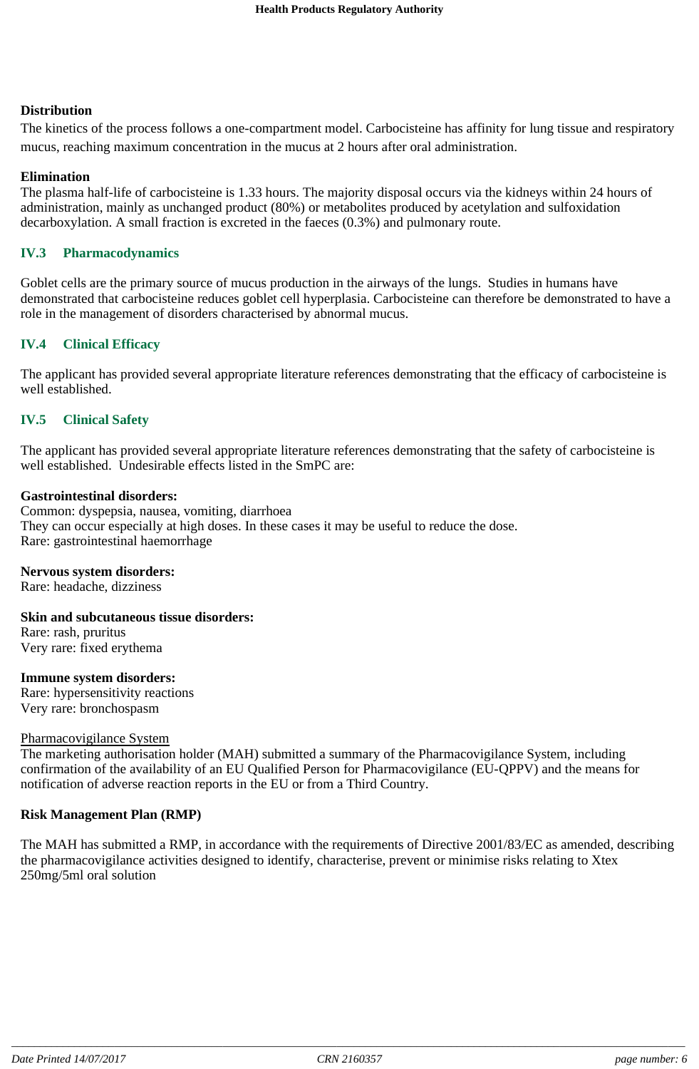#### **Distribution**

The kinetics of the process follows a one-compartment model. Carbocisteine has affinity for lung tissue and respiratory mucus, reaching maximum concentration in the mucus at 2 hours after oral administration.

#### **Elimination**

The plasma half-life of carbocisteine is 1.33 hours. The majority disposal occurs via the kidneys within 24 hours of administration, mainly as unchanged product (80%) or metabolites produced by acetylation and sulfoxidation decarboxylation. A small fraction is excreted in the faeces (0.3%) and pulmonary route.

#### **IV.3 Pharmacodynamics**

Goblet cells are the primary source of mucus production in the airways of the lungs. Studies in humans have demonstrated that carbocisteine reduces goblet cell hyperplasia. Carbocisteine can therefore be demonstrated to have a role in the management of disorders characterised by abnormal mucus.

## **IV.4 Clinical Efficacy**

The applicant has provided several appropriate literature references demonstrating that the efficacy of carbocisteine is well established.

#### **IV.5 Clinical Safety**

The applicant has provided several appropriate literature references demonstrating that the safety of carbocisteine is well established. Undesirable effects listed in the SmPC are:

#### **Gastrointestinal disorders:**

Common: dyspepsia, nausea, vomiting, diarrhoea They can occur especially at high doses. In these cases it may be useful to reduce the dose. Rare: gastrointestinal haemorrhage

#### **Nervous system disorders:**

Rare: headache, dizziness

**Skin and subcutaneous tissue disorders:**

Rare: rash, pruritus Very rare: fixed erythema

#### **Immune system disorders:**

Rare: hypersensitivity reactions Very rare: bronchospasm

#### Pharmacovigilance System

The marketing authorisation holder (MAH) submitted a summary of the Pharmacovigilance System, including confirmation of the availability of an EU Qualified Person for Pharmacovigilance (EU-QPPV) and the means for notification of adverse reaction reports in the EU or from a Third Country.

#### **Risk Management Plan (RMP)**

The MAH has submitted a RMP, in accordance with the requirements of Directive 2001/83/EC as amended, describing the pharmacovigilance activities designed to identify, characterise, prevent or minimise risks relating to Xtex 250mg/5ml oral solution